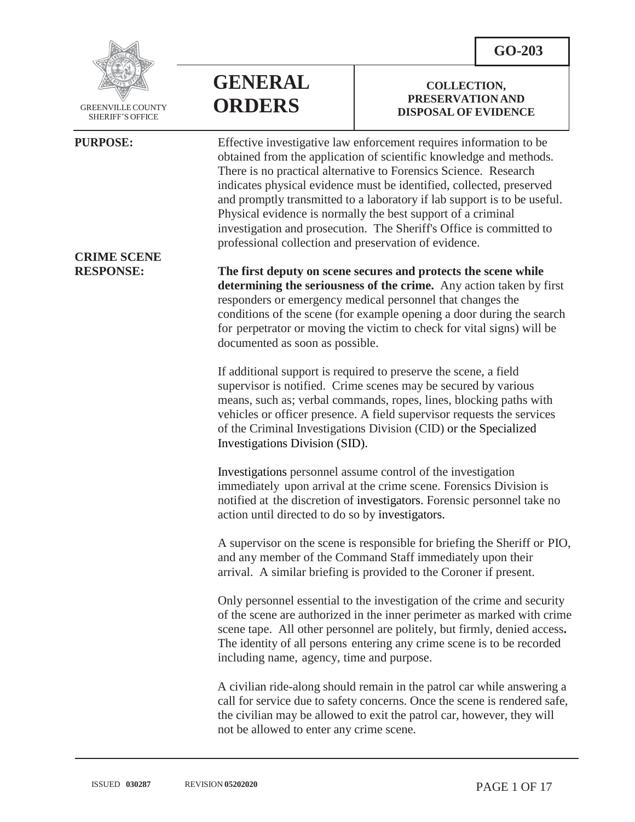

GREENVILLECOUNTY SHERIFF'S OFFICE

**CRIME SCENE**

**GENERAL ORDERS**

#### **COLLECTION, PRESERVATIONAND DISPOSAL OF EVIDENCE**

**PURPOSE:** Effective investigative law enforcement requires information to be obtained from the application of scientific knowledge and methods. There is no practical alternative to Forensics Science. Research indicates physical evidence must be identified, collected, preserved and promptly transmitted to a laboratory if lab support is to be useful. Physical evidence is normally the best support of a criminal investigation and prosecution. The Sheriff's Office is committed to professional collection and preservation of evidence.

**RESPONSE: The first deputy on scene secures and protects the scene while determining the seriousness of the crime.** Any action taken by first responders or emergency medical personnel that changes the conditions of the scene (for example opening a door during the search for perpetrator or moving the victim to check for vital signs) will be documented as soon as possible.

> If additional support is required to preserve the scene, a field supervisor is notified. Crime scenes may be secured by various means, such as; verbal commands, ropes, lines, blocking paths with vehicles or officer presence. A field supervisor requests the services of the Criminal Investigations Division (CID) or the Specialized Investigations Division (SID).

Investigations personnel assume control of the investigation immediately upon arrival at the crime scene. Forensics Division is notified at the discretion of investigators. Forensic personnel take no action until directed to do so by investigators.

A supervisor on the scene is responsible for briefing the Sheriff or PIO, and any member of the Command Staff immediately upon their arrival. A similar briefing is provided to the Coroner if present.

Only personnel essential to the investigation of the crime and security of the scene are authorized in the inner perimeter as marked with crime scene tape. All other personnel are politely, but firmly, denied access**.** The identity of all persons entering any crime scene is to be recorded including name, agency, time and purpose.

 A civilian ride-along should remain in the patrol car while answering a call for service due to safety concerns. Once the scene is rendered safe, the civilian may be allowed to exit the patrol car, however, they will not be allowed to enter any crime scene.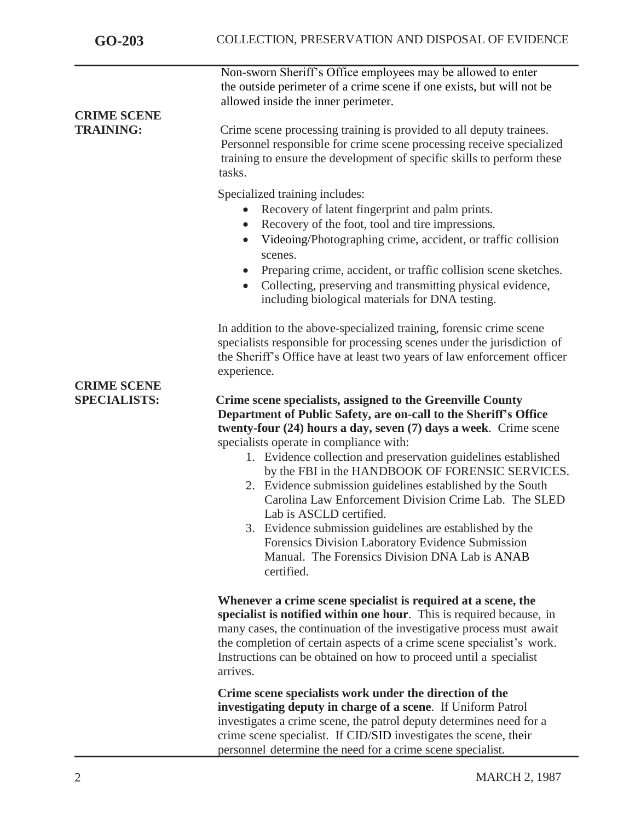|                                           | Non-sworn Sheriff's Office employees may be allowed to enter<br>the outside perimeter of a crime scene if one exists, but will not be<br>allowed inside the inner perimeter.                                                                                                                                                                                                                                                                                                                                                                                                                                                                                                                           |
|-------------------------------------------|--------------------------------------------------------------------------------------------------------------------------------------------------------------------------------------------------------------------------------------------------------------------------------------------------------------------------------------------------------------------------------------------------------------------------------------------------------------------------------------------------------------------------------------------------------------------------------------------------------------------------------------------------------------------------------------------------------|
| <b>CRIME SCENE</b><br><b>TRAINING:</b>    | Crime scene processing training is provided to all deputy trainees.<br>Personnel responsible for crime scene processing receive specialized<br>training to ensure the development of specific skills to perform these<br>tasks.                                                                                                                                                                                                                                                                                                                                                                                                                                                                        |
|                                           | Specialized training includes:<br>Recovery of latent fingerprint and palm prints.<br>$\bullet$<br>Recovery of the foot, tool and tire impressions.<br>$\bullet$<br>Videoing/Photographing crime, accident, or traffic collision<br>$\bullet$<br>scenes.<br>Preparing crime, accident, or traffic collision scene sketches.<br>Collecting, preserving and transmitting physical evidence,<br>$\bullet$<br>including biological materials for DNA testing.                                                                                                                                                                                                                                               |
|                                           | In addition to the above-specialized training, forensic crime scene<br>specialists responsible for processing scenes under the jurisdiction of<br>the Sheriff's Office have at least two years of law enforcement officer<br>experience.                                                                                                                                                                                                                                                                                                                                                                                                                                                               |
| <b>CRIME SCENE</b><br><b>SPECIALISTS:</b> | Crime scene specialists, assigned to the Greenville County<br>Department of Public Safety, are on-call to the Sheriff's Office<br>twenty-four (24) hours a day, seven (7) days a week. Crime scene<br>specialists operate in compliance with:<br>1. Evidence collection and preservation guidelines established<br>by the FBI in the HANDBOOK OF FORENSIC SERVICES.<br>2. Evidence submission guidelines established by the South<br>Carolina Law Enforcement Division Crime Lab. The SLED<br>Lab is ASCLD certified.<br>3. Evidence submission guidelines are established by the<br>Forensics Division Laboratory Evidence Submission<br>Manual. The Forensics Division DNA Lab is ANAB<br>certified. |
|                                           | Whenever a crime scene specialist is required at a scene, the<br>specialist is notified within one hour. This is required because, in<br>many cases, the continuation of the investigative process must await<br>the completion of certain aspects of a crime scene specialist's work.<br>Instructions can be obtained on how to proceed until a specialist<br>arrives.                                                                                                                                                                                                                                                                                                                                |
|                                           | Crime scene specialists work under the direction of the<br>investigating deputy in charge of a scene. If Uniform Patrol<br>investigates a crime scene, the patrol deputy determines need for a<br>crime scene specialist. If CID/SID investigates the scene, their<br>personnel determine the need for a crime scene specialist.                                                                                                                                                                                                                                                                                                                                                                       |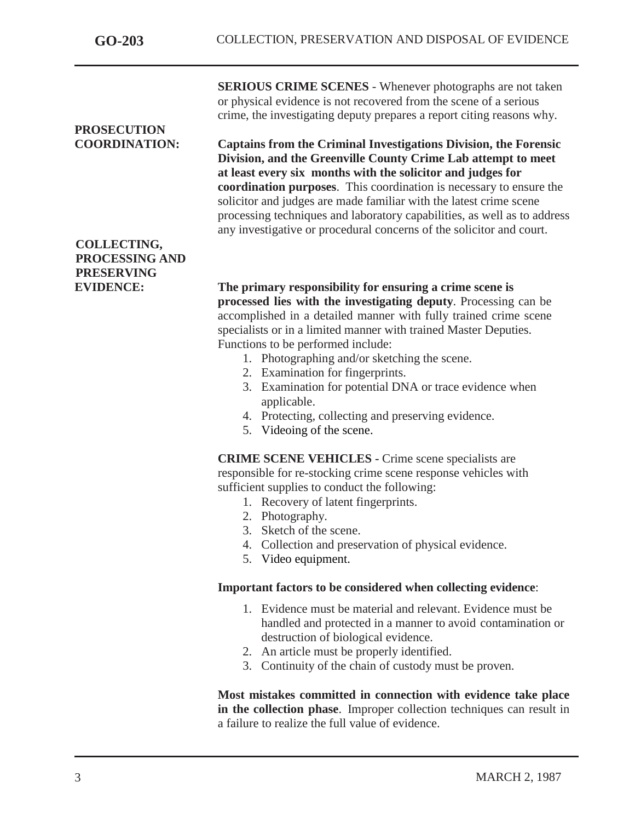**SERIOUS CRIME SCENES** - Whenever photographs are not taken or physical evidence is not recovered from the scene of a serious crime, the investigating deputy prepares a report citing reasons why.

## **PROSECUTION**

**COORDINATION: Captains from the Criminal Investigations Division, the Forensic Division, and the Greenville County Crime Lab attempt to meet at least every six months with the solicitor and judges for coordination purposes**. This coordination is necessary to ensure the solicitor and judges are made familiar with the latest crime scene processing techniques and laboratory capabilities, as well as to address any investigative or procedural concerns of the solicitor and court.

### **COLLECTING, PROCESSING AND PRESERVING**

### **EVIDENCE: The primary responsibility for ensuring a crime scene is processed lies with the investigating deputy**. Processing can be accomplished in a detailed manner with fully trained crime scene specialists or in a limited manner with trained Master Deputies. Functions to be performed include:

- 1. Photographing and/or sketching the scene.
- 2. Examination for fingerprints.
- 3. Examination for potential DNA or trace evidence when applicable.
- 4. Protecting, collecting and preserving evidence.
- 5. Videoing of the scene.

**CRIME SCENE VEHICLES -** Crime scene specialists are responsible for re-stocking crime scene response vehicles with sufficient supplies to conduct the following:

- 1. Recovery of latent fingerprints.
- 2. Photography.
- 3. Sketch of the scene.
- 4. Collection and preservation of physical evidence.
- 5. Video equipment.

### **Important factors to be considered when collecting evidence**:

- 1. Evidence must be material and relevant. Evidence must be handled and protected in a manner to avoid contamination or destruction of biological evidence.
- 2. An article must be properly identified.
- 3. Continuity of the chain of custody must be proven.

**Most mistakes committed in connection with evidence take place in the collection phase**. Improper collection techniques can result in a failure to realize the full value of evidence.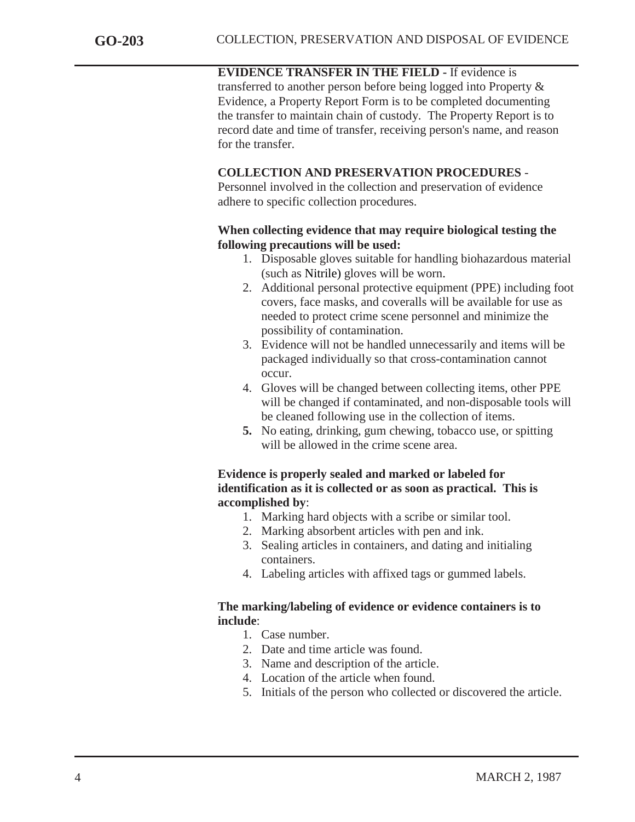**EVIDENCE TRANSFER IN THE FIELD -** If evidence is transferred to another person before being logged into Property & Evidence, a Property Report Form is to be completed documenting the transfer to maintain chain of custody. The Property Report is to record date and time of transfer, receiving person's name, and reason for the transfer.

### **COLLECTION AND PRESERVATION PROCEDURES** -

Personnel involved in the collection and preservation of evidence adhere to specific collection procedures.

### **When collecting evidence that may require biological testing the following precautions will be used:**

- 1. Disposable gloves suitable for handling biohazardous material (such as Nitrile) gloves will be worn.
- 2. Additional personal protective equipment (PPE) including foot covers, face masks, and coveralls will be available for use as needed to protect crime scene personnel and minimize the possibility of contamination.
- 3. Evidence will not be handled unnecessarily and items will be packaged individually so that cross-contamination cannot occur.
- 4. Gloves will be changed between collecting items, other PPE will be changed if contaminated, and non-disposable tools will be cleaned following use in the collection of items.
- **5.** No eating, drinking, gum chewing, tobacco use, or spitting will be allowed in the crime scene area.

### **Evidence is properly sealed and marked or labeled for identification as it is collected or as soon as practical. This is accomplished by**:

- 1. Marking hard objects with a scribe or similar tool.
- 2. Marking absorbent articles with pen and ink.
- 3. Sealing articles in containers, and dating and initialing containers.
- 4. Labeling articles with affixed tags or gummed labels.

### **The marking/labeling of evidence or evidence containers is to include**:

- 1. Case number.
- 2. Date and time article was found.
- 3. Name and description of the article.
- 4. Location of the article when found.
- 5. Initials of the person who collected or discovered the article.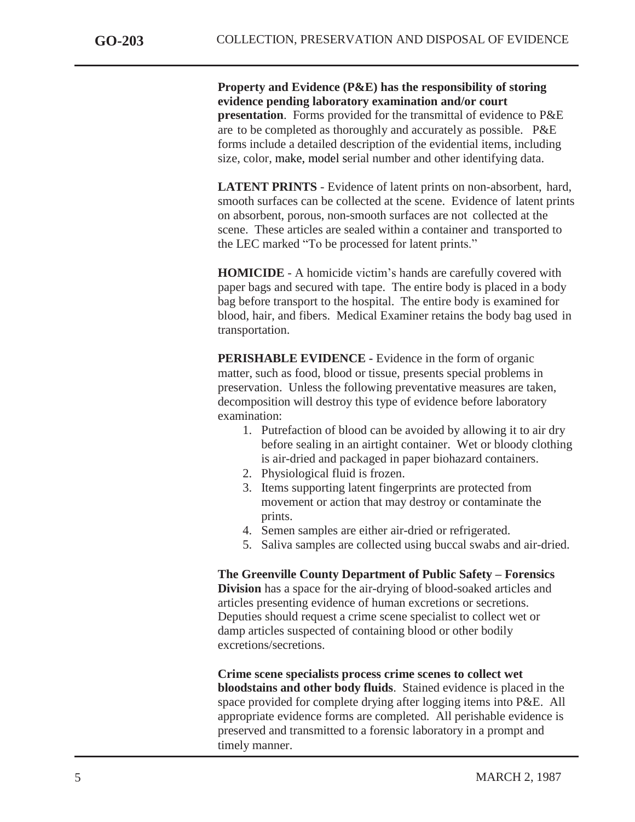**Property and Evidence (P&E) has the responsibility of storing evidence pending laboratory examination and/or court presentation**. Forms provided for the transmittal of evidence to P&E are to be completed as thoroughly and accurately as possible. P&E forms include a detailed description of the evidential items, including size, color, make, model serial number and other identifying data.

**LATENT PRINTS** - Evidence of latent prints on non-absorbent, hard, smooth surfaces can be collected at the scene. Evidence of latent prints on absorbent, porous, non-smooth surfaces are not collected at the scene. These articles are sealed within a container and transported to the LEC marked "To be processed for latent prints."

**HOMICIDE** - A homicide victim's hands are carefully covered with paper bags and secured with tape. The entire body is placed in a body bag before transport to the hospital. The entire body is examined for blood, hair, and fibers. Medical Examiner retains the body bag used in transportation.

**PERISHABLE EVIDENCE -** Evidence in the form of organic matter, such as food, blood or tissue, presents special problems in preservation. Unless the following preventative measures are taken, decomposition will destroy this type of evidence before laboratory examination:

- 1. Putrefaction of blood can be avoided by allowing it to air dry before sealing in an airtight container. Wet or bloody clothing is air-dried and packaged in paper biohazard containers.
- 2. Physiological fluid is frozen.
- 3. Items supporting latent fingerprints are protected from movement or action that may destroy or contaminate the prints.
- 4. Semen samples are either air-dried or refrigerated.
- 5. Saliva samples are collected using buccal swabs and air-dried.

**The Greenville County Department of Public Safety – Forensics Division** has a space for the air-drying of blood-soaked articles and articles presenting evidence of human excretions or secretions. Deputies should request a crime scene specialist to collect wet or damp articles suspected of containing blood or other bodily excretions/secretions.

**Crime scene specialists process crime scenes to collect wet bloodstains and other body fluids**. Stained evidence is placed in the space provided for complete drying after logging items into P&E. All appropriate evidence forms are completed. All perishable evidence is preserved and transmitted to a forensic laboratory in a prompt and timely manner.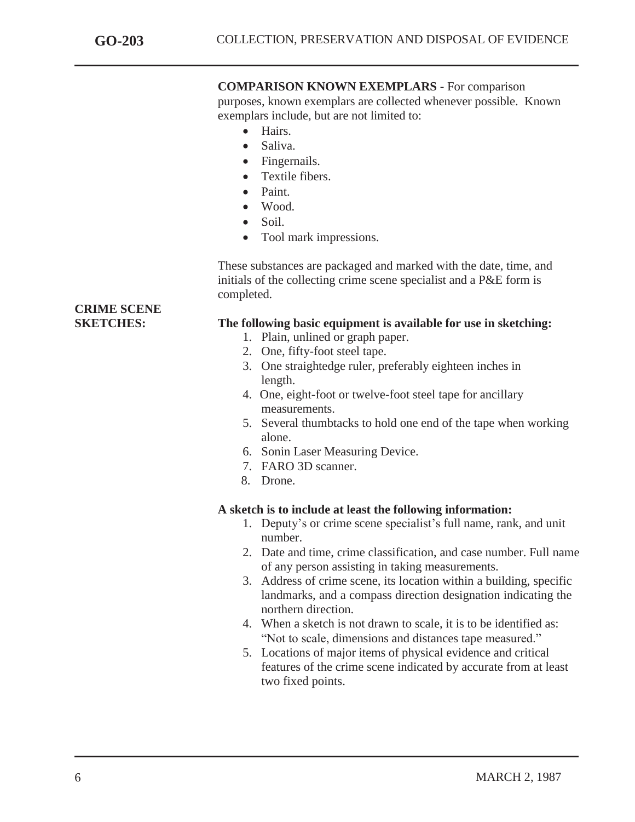**COMPARISON KNOWN EXEMPLARS -** For comparison purposes, known exemplars are collected whenever possible. Known exemplars include, but are not limited to:

- Hairs.
- Saliva.
- Fingernails.
- Textile fibers.
- Paint
- Wood.
- $\bullet$  Soil.
- Tool mark impressions.

These substances are packaged and marked with the date, time, and initials of the collecting crime scene specialist and a P&E form is completed.

### **SKETCHES: The following basic equipment is available for use in sketching:**

- 1. Plain, unlined or graph paper.
- 2. One, fifty-foot steel tape.
- 3. One straightedge ruler, preferably eighteen inches in length.
- 4. One, eight-foot or twelve-foot steel tape for ancillary measurements.
- 5. Several thumbtacks to hold one end of the tape when working alone.
- 6. Sonin Laser Measuring Device.
- 7. FARO 3D scanner.
- 8. Drone.

### **A sketch is to include at least the following information:**

- 1. Deputy's or crime scene specialist's full name, rank, and unit number.
- 2. Date and time, crime classification, and case number. Full name of any person assisting in taking measurements.
- 3. Address of crime scene, its location within a building, specific landmarks, and a compass direction designation indicating the northern direction.
- 4. When a sketch is not drawn to scale, it is to be identified as: "Not to scale, dimensions and distances tape measured."
- 5. Locations of major items of physical evidence and critical features of the crime scene indicated by accurate from at least two fixed points.

## **CRIME SCENE**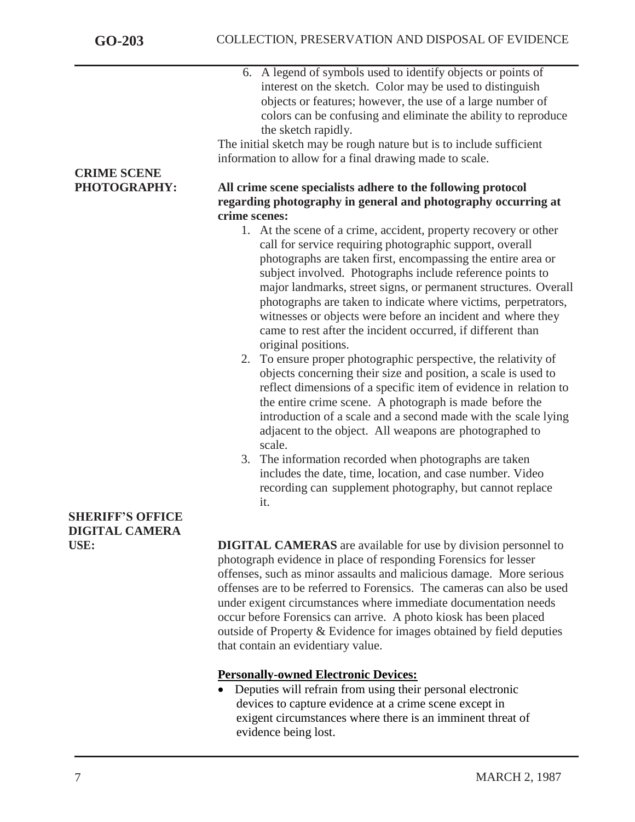|                                                  | 6. A legend of symbols used to identify objects or points of<br>interest on the sketch. Color may be used to distinguish<br>objects or features; however, the use of a large number of<br>colors can be confusing and eliminate the ability to reproduce<br>the sketch rapidly.<br>The initial sketch may be rough nature but is to include sufficient<br>information to allow for a final drawing made to scale.                                                                                                                                                                                                                                                                                                                                                                                                                                                                                                                                                                                                                                                                                                                                        |
|--------------------------------------------------|----------------------------------------------------------------------------------------------------------------------------------------------------------------------------------------------------------------------------------------------------------------------------------------------------------------------------------------------------------------------------------------------------------------------------------------------------------------------------------------------------------------------------------------------------------------------------------------------------------------------------------------------------------------------------------------------------------------------------------------------------------------------------------------------------------------------------------------------------------------------------------------------------------------------------------------------------------------------------------------------------------------------------------------------------------------------------------------------------------------------------------------------------------|
| <b>CRIME SCENE</b>                               |                                                                                                                                                                                                                                                                                                                                                                                                                                                                                                                                                                                                                                                                                                                                                                                                                                                                                                                                                                                                                                                                                                                                                          |
| PHOTOGRAPHY:                                     | All crime scene specialists adhere to the following protocol<br>regarding photography in general and photography occurring at<br>crime scenes:                                                                                                                                                                                                                                                                                                                                                                                                                                                                                                                                                                                                                                                                                                                                                                                                                                                                                                                                                                                                           |
| <b>SHERIFF'S OFFICE</b><br><b>DIGITAL CAMERA</b> | 1. At the scene of a crime, accident, property recovery or other<br>call for service requiring photographic support, overall<br>photographs are taken first, encompassing the entire area or<br>subject involved. Photographs include reference points to<br>major landmarks, street signs, or permanent structures. Overall<br>photographs are taken to indicate where victims, perpetrators,<br>witnesses or objects were before an incident and where they<br>came to rest after the incident occurred, if different than<br>original positions.<br>2. To ensure proper photographic perspective, the relativity of<br>objects concerning their size and position, a scale is used to<br>reflect dimensions of a specific item of evidence in relation to<br>the entire crime scene. A photograph is made before the<br>introduction of a scale and a second made with the scale lying<br>adjacent to the object. All weapons are photographed to<br>scale.<br>3. The information recorded when photographs are taken<br>includes the date, time, location, and case number. Video<br>recording can supplement photography, but cannot replace<br>it. |
| <b>USE:</b>                                      | <b>DIGITAL CAMERAS</b> are available for use by division personnel to                                                                                                                                                                                                                                                                                                                                                                                                                                                                                                                                                                                                                                                                                                                                                                                                                                                                                                                                                                                                                                                                                    |
|                                                  | photograph evidence in place of responding Forensics for lesser                                                                                                                                                                                                                                                                                                                                                                                                                                                                                                                                                                                                                                                                                                                                                                                                                                                                                                                                                                                                                                                                                          |
|                                                  |                                                                                                                                                                                                                                                                                                                                                                                                                                                                                                                                                                                                                                                                                                                                                                                                                                                                                                                                                                                                                                                                                                                                                          |

offenses, such as minor assaults and malicious damage. More serious offenses are to be referred to Forensics. The cameras can also be used under exigent circumstances where immediate documentation needs occur before Forensics can arrive. A photo kiosk has been placed outside of Property & Evidence for images obtained by field deputies that contain an evidentiary value.

### **Personally-owned Electronic Devices:**

 Deputies will refrain from using their personal electronic devices to capture evidence at a crime scene except in exigent circumstances where there is an imminent threat of evidence being lost.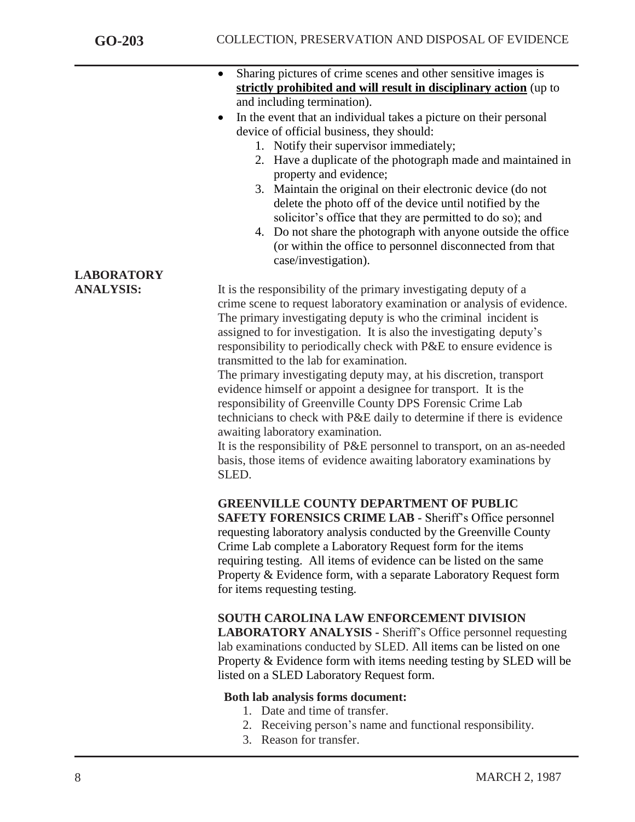|                   | Sharing pictures of crime scenes and other sensitive images is                 |
|-------------------|--------------------------------------------------------------------------------|
|                   | strictly prohibited and will result in disciplinary action (up to              |
|                   | and including termination).                                                    |
|                   | In the event that an individual takes a picture on their personal<br>$\bullet$ |
|                   | device of official business, they should:                                      |
|                   | 1. Notify their supervisor immediately;                                        |
|                   | 2. Have a duplicate of the photograph made and maintained in                   |
|                   | property and evidence;                                                         |
|                   | 3. Maintain the original on their electronic device (do not                    |
|                   | delete the photo off of the device until notified by the                       |
|                   | solicitor's office that they are permitted to do so); and                      |
|                   | 4. Do not share the photograph with anyone outside the office                  |
|                   | (or within the office to personnel disconnected from that                      |
|                   | case/investigation).                                                           |
| <b>LABORATORY</b> |                                                                                |
| <b>ANALYSIS:</b>  | It is the responsibility of the primary investigating deputy of a              |
|                   | crime scene to request laboratory examination or analysis of evidence.         |
|                   | The primary investigating deputy is who the criminal incident is               |
|                   | assigned to for investigation. It is also the investigating deputy's           |
|                   | responsibility to periodically check with P&E to ensure evidence is            |
|                   | transmitted to the lab for examination.                                        |
|                   | The primary investigating deputy may, at his discretion, transport             |
|                   | evidence himself or appoint a designee for transport. It is the                |
|                   | responsibility of Greenville County DPS Forensic Crime Lab                     |
|                   | technicians to check with P&E daily to determine if there is evidence          |
|                   | awaiting laboratory examination.                                               |
|                   | It is the responsibility of P&E personnel to transport, on an as-needed        |
|                   | basis, those items of evidence awaiting laboratory examinations by             |
|                   | SLED.                                                                          |
|                   |                                                                                |
|                   | <b>GREENVILLE COUNTY DEPARTMENT OF PUBLIC</b>                                  |
|                   | SAFETY FORENSICS CRIME LAB - Sheriff's Office personnel                        |
|                   | requesting laboratory analysis conducted by the Greenville County              |
|                   | Crime Lab complete a Laboratory Request form for the items                     |
|                   | requiring testing. All items of evidence can be listed on the same             |
|                   | Property & Evidence form, with a separate Laboratory Request form              |
|                   | for items requesting testing.                                                  |
|                   |                                                                                |
|                   | SOUTH CAROLINA LAW ENFORCEMENT DIVISION                                        |
|                   | <b>LABORATORY ANALYSIS - Sheriff's Office personnel requesting</b>             |
|                   | lab examinations conducted by SLED. All items can be listed on one             |
|                   | Property & Evidence form with items needing testing by SLED will be            |
|                   | listed on a SLED Laboratory Request form.                                      |
|                   |                                                                                |
|                   | Both lab analysis forms document:                                              |
|                   | 1. Date and time of transfer.                                                  |
|                   | 2. Receiving person's name and functional responsibility.                      |
|                   | 3. Reason for transfer.                                                        |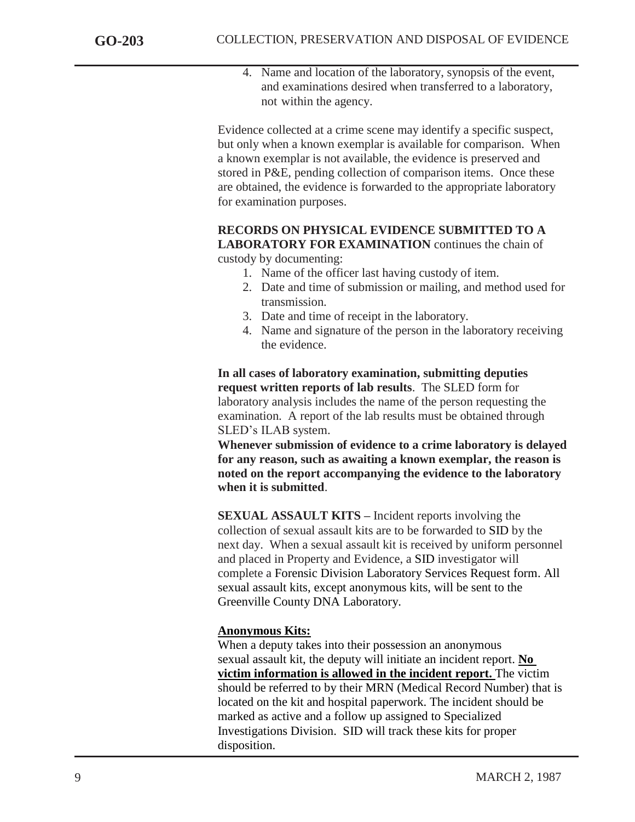4. Name and location of the laboratory, synopsis of the event, and examinations desired when transferred to a laboratory, not within the agency.

Evidence collected at a crime scene may identify a specific suspect, but only when a known exemplar is available for comparison. When a known exemplar is not available, the evidence is preserved and stored in P&E, pending collection of comparison items. Once these are obtained, the evidence is forwarded to the appropriate laboratory for examination purposes.

#### **RECORDS ON PHYSICAL EVIDENCE SUBMITTED TO A LABORATORY FOR EXAMINATION** continues the chain of custody by documenting:

1. Name of the officer last having custody of item.

- 2. Date and time of submission or mailing, and method used for
- transmission.
- 3. Date and time of receipt in the laboratory.
- 4. Name and signature of the person in the laboratory receiving the evidence.

**In all cases of laboratory examination, submitting deputies request written reports of lab results**. The SLED form for laboratory analysis includes the name of the person requesting the examination. A report of the lab results must be obtained through SLED's ILAB system.

**Whenever submission of evidence to a crime laboratory is delayed for any reason, such as awaiting a known exemplar, the reason is noted on the report accompanying the evidence to the laboratory when it is submitted**.

**SEXUAL ASSAULT KITS –** Incident reports involving the collection of sexual assault kits are to be forwarded to SID by the next day. When a sexual assault kit is received by uniform personnel and placed in Property and Evidence, a SID investigator will complete a Forensic Division Laboratory Services Request form. All sexual assault kits, except anonymous kits, will be sent to the Greenville County DNA Laboratory.

### **Anonymous Kits:**

When a deputy takes into their possession an anonymous sexual assault kit, the deputy will initiate an incident report. **No victim information is allowed in the incident report.** The victim should be referred to by their MRN (Medical Record Number) that is located on the kit and hospital paperwork. The incident should be marked as active and a follow up assigned to Specialized Investigations Division. SID will track these kits for proper disposition.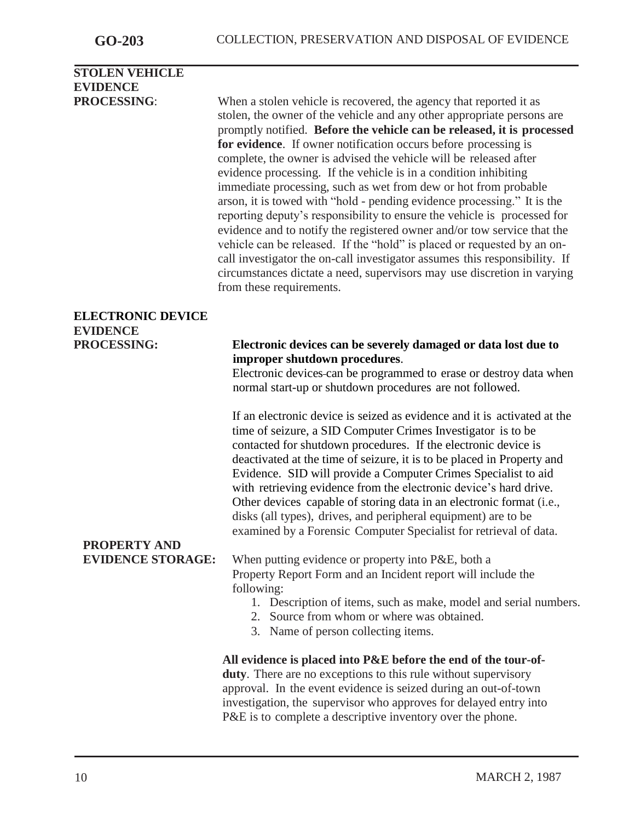## **STOLEN VEHICLE EVIDENCE**

**PROCESSING:** When a stolen vehicle is recovered, the agency that reported it as stolen, the owner of the vehicle and any other appropriate persons are promptly notified. **Before the vehicle can be released, it is processed for evidence**. If owner notification occurs before processing is complete, the owner is advised the vehicle will be released after evidence processing. If the vehicle is in a condition inhibiting immediate processing, such as wet from dew or hot from probable arson, it is towed with "hold - pending evidence processing." It is the reporting deputy's responsibility to ensure the vehicle is processed for evidence and to notify the registered owner and/or tow service that the vehicle can be released. If the "hold" is placed or requested by an oncall investigator the on-call investigator assumes this responsibility. If circumstances dictate a need, supervisors may use discretion in varying from these requirements.

### **ELECTRONIC DEVICE EVIDENCE**

### **PROCESSING: Electronic devices can be severely damaged or data lost due to improper shutdown procedures**.

Electronic devices can be programmed to erase or destroy data when normal start-up or shutdown procedures are not followed.

If an electronic device is seized as evidence and it is activated at the time of seizure, a SID Computer Crimes Investigator is to be contacted for shutdown procedures. If the electronic device is deactivated at the time of seizure, it is to be placed in Property and Evidence. SID will provide a Computer Crimes Specialist to aid with retrieving evidence from the electronic device's hard drive. Other devices capable of storing data in an electronic format (i.e., disks (all types), drives, and peripheral equipment) are to be examined by a Forensic Computer Specialist for retrieval of data.

# **PROPERTY AND**

**EVIDENCE STORAGE:** When putting evidence or property into P&E, both a Property Report Form and an Incident report will include the following:

- 1. Description of items, such as make, model and serial numbers.
- 2. Source from whom or where was obtained.
- 3. Name of person collecting items.

**All evidence is placed into P&E before the end of the tour-ofduty**. There are no exceptions to this rule without supervisory approval. In the event evidence is seized during an out-of-town investigation, the supervisor who approves for delayed entry into P&E is to complete a descriptive inventory over the phone.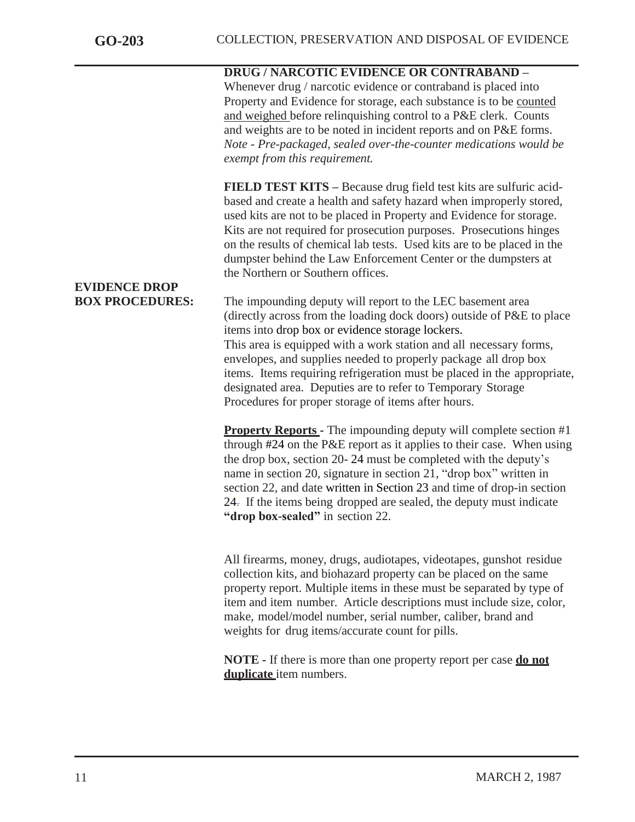**DRUG / NARCOTIC EVIDENCE OR CONTRABAND –** Whenever drug / narcotic evidence or contraband is placed into Property and Evidence for storage, each substance is to be counted and weighed before relinquishing control to a P&E clerk. Counts and weights are to be noted in incident reports and on P&E forms. *Note - Pre-packaged, sealed over-the-counter medications would be exempt from this requirement.*

**FIELD TEST KITS –** Because drug field test kits are sulfuric acidbased and create a health and safety hazard when improperly stored, used kits are not to be placed in Property and Evidence for storage. Kits are not required for prosecution purposes. Prosecutions hinges on the results of chemical lab tests. Used kits are to be placed in the dumpster behind the Law Enforcement Center or the dumpsters at the Northern or Southern offices.

# **EVIDENCE DROP**

**BOX PROCEDURES:** The impounding deputy will report to the LEC basement area (directly across from the loading dock doors) outside of P&E to place items into drop box or evidence storage lockers. This area is equipped with a work station and all necessary forms, envelopes, and supplies needed to properly package all drop box items. Items requiring refrigeration must be placed in the appropriate, designated area. Deputies are to refer to Temporary Storage Procedures for proper storage of items after hours.

> **Property Reports** - The impounding deputy will complete section #1 through #24 on the P&E report as it applies to their case. When using the drop box, section 20- 24 must be completed with the deputy's name in section 20, signature in section 21, "drop box" written in section 22, and date written in Section 23 and time of drop-in section 24. If the items being dropped are sealed, the deputy must indicate **"drop box-sealed"** in section 22.

All firearms, money, drugs, audiotapes, videotapes, gunshot residue collection kits, and biohazard property can be placed on the same property report. Multiple items in these must be separated by type of item and item number. Article descriptions must include size, color, make, model/model number, serial number, caliber, brand and weights for drug items/accurate count for pills.

**NOTE -** If there is more than one property report per case **do not duplicate** item numbers.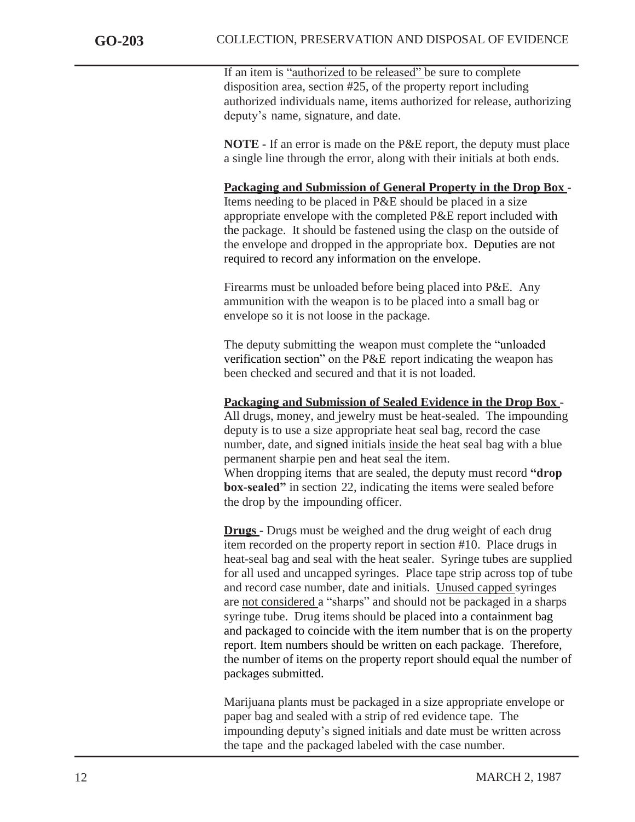If an item is "authorized to be released" be sure to complete disposition area, section #25, of the property report including authorized individuals name, items authorized for release, authorizing deputy's name, signature, and date.

**NOTE -** If an error is made on the P&E report, the deputy must place a single line through the error, along with their initials at both ends.

**Packaging and Submission of General Property in the Drop Box -** Items needing to be placed in P&E should be placed in a size appropriate envelope with the completed P&E report included with the package. It should be fastened using the clasp on the outside of the envelope and dropped in the appropriate box. Deputies are not required to record any information on the envelope.

Firearms must be unloaded before being placed into P&E. Any ammunition with the weapon is to be placed into a small bag or envelope so it is not loose in the package.

The deputy submitting the weapon must complete the "unloaded verification section" on the P&E report indicating the weapon has been checked and secured and that it is not loaded.

### **Packaging and Submission of Sealed Evidence in the Drop Box -**

All drugs, money, and jewelry must be heat-sealed. The impounding deputy is to use a size appropriate heat seal bag, record the case number, date, and signed initials inside the heat seal bag with a blue permanent sharpie pen and heat seal the item. When dropping items that are sealed, the deputy must record **"drop box-sealed"** in section 22, indicating the items were sealed before the drop by the impounding officer.

**Drugs -** Drugs must be weighed and the drug weight of each drug item recorded on the property report in section #10. Place drugs in heat-seal bag and seal with the heat sealer. Syringe tubes are supplied for all used and uncapped syringes. Place tape strip across top of tube and record case number, date and initials. Unused capped syringes are not considered a "sharps" and should not be packaged in a sharps syringe tube. Drug items should be placed into a containment bag and packaged to coincide with the item number that is on the property report. Item numbers should be written on each package. Therefore, the number of items on the property report should equal the number of packages submitted.

Marijuana plants must be packaged in a size appropriate envelope or paper bag and sealed with a strip of red evidence tape. The impounding deputy's signed initials and date must be written across the tape and the packaged labeled with the case number.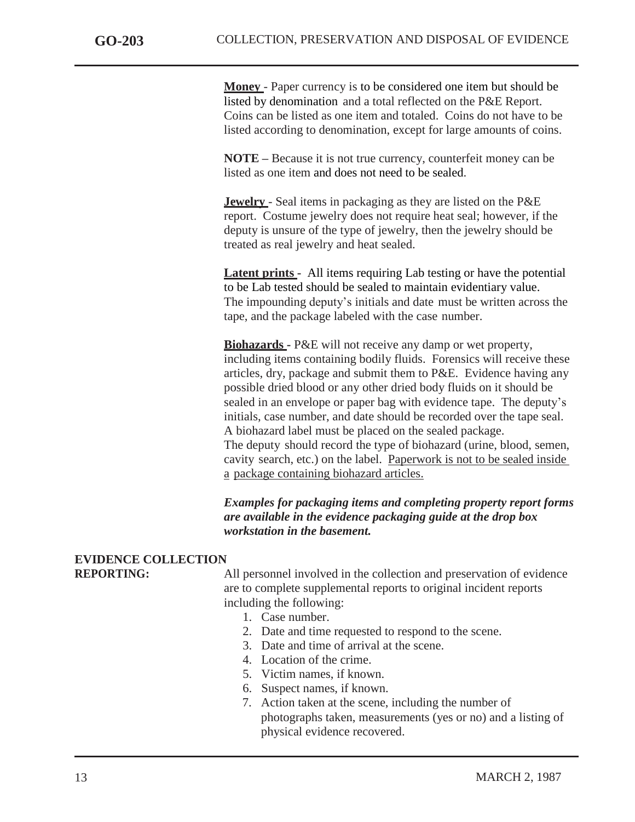**Money** - Paper currency is to be considered one item but should be listed by denomination and a total reflected on the P&E Report. Coins can be listed as one item and totaled. Coins do not have to be listed according to denomination, except for large amounts of coins.

**NOTE –** Because it is not true currency, counterfeit money can be listed as one item and does not need to be sealed.

**Jewelry** - Seal items in packaging as they are listed on the P&E report. Costume jewelry does not require heat seal; however, if the deputy is unsure of the type of jewelry, then the jewelry should be treated as real jewelry and heat sealed.

**Latent prints -** All items requiring Lab testing or have the potential to be Lab tested should be sealed to maintain evidentiary value. The impounding deputy's initials and date must be written across the tape, and the package labeled with the case number.

**Biohazards -** P&E will not receive any damp or wet property, including items containing bodily fluids. Forensics will receive these articles, dry, package and submit them to P&E. Evidence having any possible dried blood or any other dried body fluids on it should be sealed in an envelope or paper bag with evidence tape. The deputy's initials, case number, and date should be recorded over the tape seal. A biohazard label must be placed on the sealed package. The deputy should record the type of biohazard (urine, blood, semen, cavity search, etc.) on the label. Paperwork is not to be sealed inside a package containing biohazard articles.

*Examples for packaging items and completing property report forms are available in the evidence packaging guide at the drop box workstation in the basement.*

### **EVIDENCE COLLECTION**

**REPORTING:** All personnel involved in the collection and preservation of evidence are to complete supplemental reports to original incident reports including the following:

- 1. Case number.
- 2. Date and time requested to respond to the scene.
- 3. Date and time of arrival at the scene.
- 4. Location of the crime.
- 5. Victim names, if known.
- 6. Suspect names, if known.
- 7. Action taken at the scene, including the number of photographs taken, measurements (yes or no) and a listing of physical evidence recovered.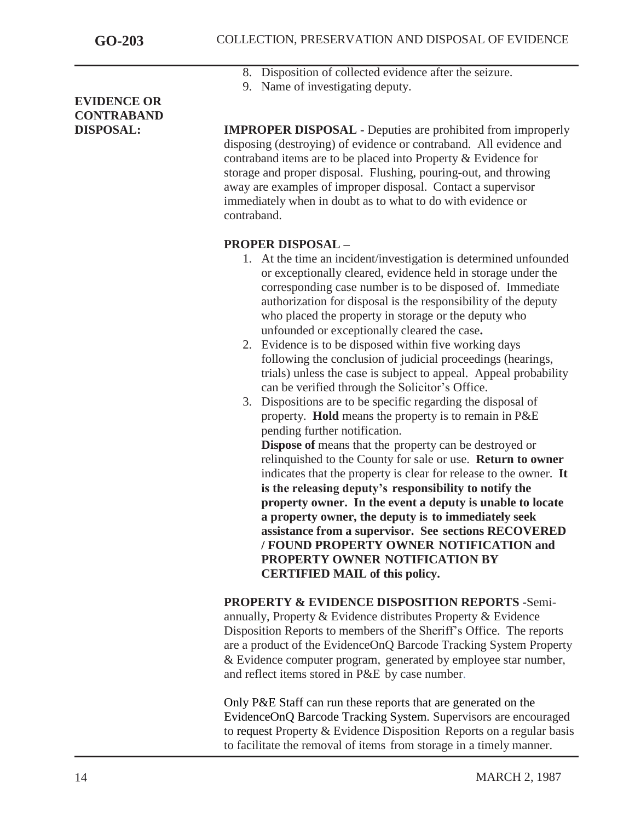## **EVIDENCE OR CONTRABAND**

- 8. Disposition of collected evidence after the seizure.
- 9. Name of investigating deputy.

**DISPOSAL: IMPROPER DISPOSAL -** Deputies are prohibited from improperly disposing (destroying) of evidence or contraband. All evidence and contraband items are to be placed into Property & Evidence for storage and proper disposal. Flushing, pouring-out, and throwing away are examples of improper disposal. Contact a supervisor immediately when in doubt as to what to do with evidence or contraband.

### **PROPER DISPOSAL –**

- 1. At the time an incident/investigation is determined unfounded or exceptionally cleared, evidence held in storage under the corresponding case number is to be disposed of. Immediate authorization for disposal is the responsibility of the deputy who placed the property in storage or the deputy who unfounded or exceptionally cleared the case**.**
- 2. Evidence is to be disposed within five working days following the conclusion of judicial proceedings (hearings, trials) unless the case is subject to appeal. Appeal probability can be verified through the Solicitor's Office.
- 3. Dispositions are to be specific regarding the disposal of property. **Hold** means the property is to remain in P&E pending further notification.

**Dispose of** means that the property can be destroyed or relinquished to the County for sale or use. **Return to owner**  indicates that the property is clear for release to the owner. **It is the releasing deputy's responsibility to notify the property owner. In the event a deputy is unable to locate a property owner, the deputy is to immediately seek assistance from a supervisor. See sections RECOVERED / FOUND PROPERTY OWNER NOTIFICATION and PROPERTY OWNER NOTIFICATION BY CERTIFIED MAIL of this policy.**

**PROPERTY & EVIDENCE DISPOSITION REPORTS -**Semiannually, Property & Evidence distributes Property & Evidence Disposition Reports to members of the Sheriff's Office. The reports are a product of the EvidenceOnQ Barcode Tracking System Property & Evidence computer program, generated by employee star number, and reflect items stored in P&E by case number.

Only P&E Staff can run these reports that are generated on the EvidenceOnQ Barcode Tracking System. Supervisors are encouraged to request Property & Evidence Disposition Reports on a regular basis to facilitate the removal of items from storage in a timely manner.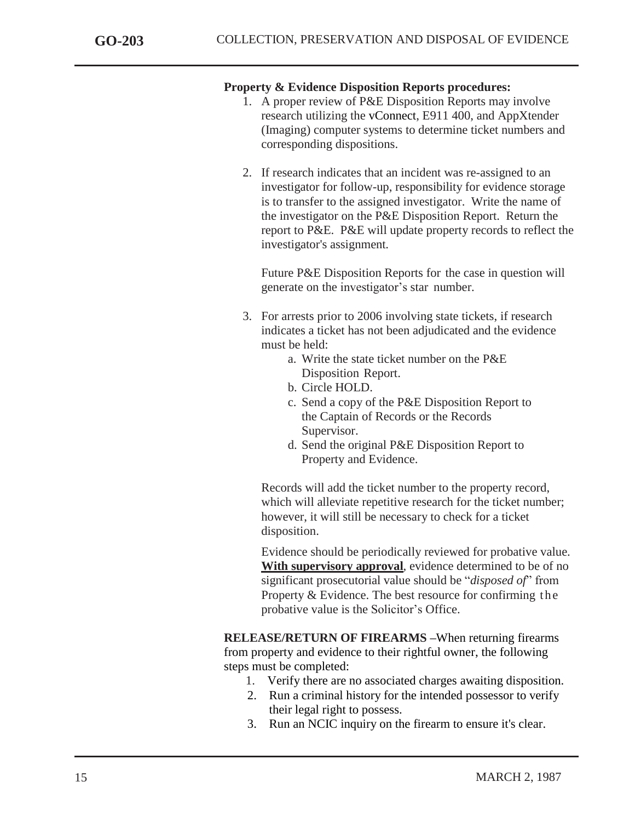### **Property & Evidence Disposition Reports procedures:**

- 1. A proper review of P&E Disposition Reports may involve research utilizing the vConnect, E911 400, and AppXtender (Imaging) computer systems to determine ticket numbers and corresponding dispositions.
- 2. If research indicates that an incident was re-assigned to an investigator for follow-up, responsibility for evidence storage is to transfer to the assigned investigator. Write the name of the investigator on the P&E Disposition Report. Return the report to P&E. P&E will update property records to reflect the investigator's assignment.

Future P&E Disposition Reports for the case in question will generate on the investigator's star number.

- 3. For arrests prior to 2006 involving state tickets, if research indicates a ticket has not been adjudicated and the evidence must be held:
	- a. Write the state ticket number on the P&E Disposition Report.
	- b. Circle HOLD.
	- c. Send a copy of the P&E Disposition Report to the Captain of Records or the Records Supervisor.
	- d. Send the original P&E Disposition Report to Property and Evidence.

Records will add the ticket number to the property record, which will alleviate repetitive research for the ticket number; however, it will still be necessary to check for a ticket disposition.

Evidence should be periodically reviewed for probative value. **With supervisory approval**, evidence determined to be of no significant prosecutorial value should be "*disposed of*" from Property & Evidence. The best resource for confirming the probative value is the Solicitor's Office.

**RELEASE/RETURN OF FIREARMS –**When returning firearms from property and evidence to their rightful owner, the following steps must be completed:

- 1. Verify there are no associated charges awaiting disposition.
- 2. Run a criminal history for the intended possessor to verify their legal right to possess.
- 3. Run an NCIC inquiry on the firearm to ensure it's clear.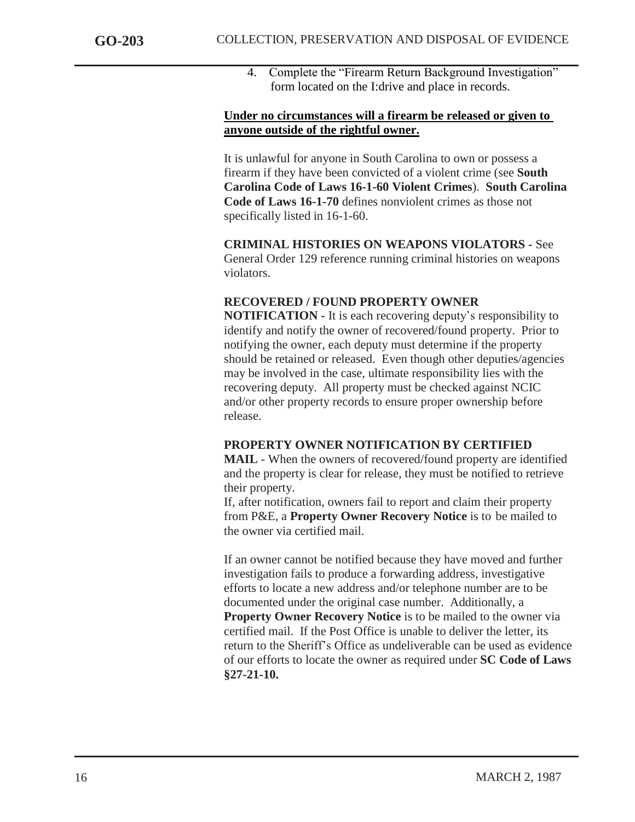4. Complete the "Firearm Return Background Investigation" form located on the I:drive and place in records.

### **Under no circumstances will a firearm be released or given to anyone outside of the rightful owner.**

It is unlawful for anyone in South Carolina to own or possess a firearm if they have been convicted of a violent crime (see **South Carolina Code of Laws 16-1-60 Violent Crimes**). **South Carolina Code of Laws 16-1-70** defines nonviolent crimes as those not specifically listed in 16-1-60.

**CRIMINAL HISTORIES ON WEAPONS VIOLATORS -** See General Order 129 reference running criminal histories on weapons violators.

### **RECOVERED / FOUND PROPERTY OWNER**

**NOTIFICATION -** It is each recovering deputy's responsibility to identify and notify the owner of recovered/found property. Prior to notifying the owner, each deputy must determine if the property should be retained or released. Even though other deputies/agencies may be involved in the case, ultimate responsibility lies with the recovering deputy. All property must be checked against NCIC and/or other property records to ensure proper ownership before release.

### **PROPERTY OWNER NOTIFICATION BY CERTIFIED**

**MAIL** - When the owners of recovered/found property are identified and the property is clear for release, they must be notified to retrieve their property.

If, after notification, owners fail to report and claim their property from P&E, a **Property Owner Recovery Notice** is to be mailed to the owner via certified mail.

If an owner cannot be notified because they have moved and further investigation fails to produce a forwarding address, investigative efforts to locate a new address and/or telephone number are to be documented under the original case number. Additionally, a **Property Owner Recovery Notice** is to be mailed to the owner via certified mail. If the Post Office is unable to deliver the letter, its return to the Sheriff's Office as undeliverable can be used as evidence of our efforts to locate the owner as required under **SC Code of Laws §27-21-10.**